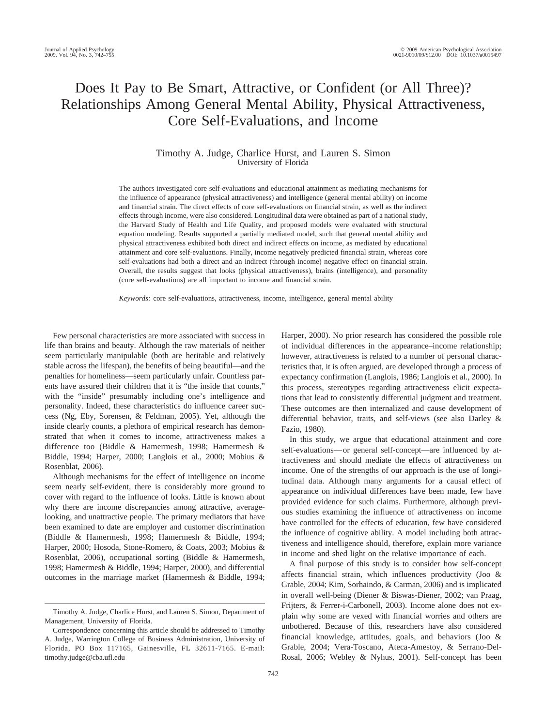# Does It Pay to Be Smart, Attractive, or Confident (or All Three)? Relationships Among General Mental Ability, Physical Attractiveness, Core Self-Evaluations, and Income

# Timothy A. Judge, Charlice Hurst, and Lauren S. Simon University of Florida

The authors investigated core self-evaluations and educational attainment as mediating mechanisms for the influence of appearance (physical attractiveness) and intelligence (general mental ability) on income and financial strain. The direct effects of core self-evaluations on financial strain, as well as the indirect effects through income, were also considered. Longitudinal data were obtained as part of a national study, the Harvard Study of Health and Life Quality, and proposed models were evaluated with structural equation modeling. Results supported a partially mediated model, such that general mental ability and physical attractiveness exhibited both direct and indirect effects on income, as mediated by educational attainment and core self-evaluations. Finally, income negatively predicted financial strain, whereas core self-evaluations had both a direct and an indirect (through income) negative effect on financial strain. Overall, the results suggest that looks (physical attractiveness), brains (intelligence), and personality (core self-evaluations) are all important to income and financial strain.

*Keywords:* core self-evaluations, attractiveness, income, intelligence, general mental ability

Few personal characteristics are more associated with success in life than brains and beauty. Although the raw materials of neither seem particularly manipulable (both are heritable and relatively stable across the lifespan), the benefits of being beautiful—and the penalties for homeliness—seem particularly unfair. Countless parents have assured their children that it is "the inside that counts," with the "inside" presumably including one's intelligence and personality. Indeed, these characteristics do influence career success (Ng, Eby, Sorensen, & Feldman, 2005). Yet, although the inside clearly counts, a plethora of empirical research has demonstrated that when it comes to income, attractiveness makes a difference too (Biddle & Hamermesh, 1998; Hamermesh & Biddle, 1994; Harper, 2000; Langlois et al., 2000; Mobius & Rosenblat, 2006).

Although mechanisms for the effect of intelligence on income seem nearly self-evident, there is considerably more ground to cover with regard to the influence of looks. Little is known about why there are income discrepancies among attractive, averagelooking, and unattractive people. The primary mediators that have been examined to date are employer and customer discrimination (Biddle & Hamermesh, 1998; Hamermesh & Biddle, 1994; Harper, 2000; Hosoda, Stone-Romero, & Coats, 2003; Mobius & Rosenblat, 2006), occupational sorting (Biddle & Hamermesh, 1998; Hamermesh & Biddle, 1994; Harper, 2000), and differential outcomes in the marriage market (Hamermesh & Biddle, 1994; Harper, 2000). No prior research has considered the possible role of individual differences in the appearance–income relationship; however, attractiveness is related to a number of personal characteristics that, it is often argued, are developed through a process of expectancy confirmation (Langlois, 1986; Langlois et al., 2000). In this process, stereotypes regarding attractiveness elicit expectations that lead to consistently differential judgment and treatment. These outcomes are then internalized and cause development of differential behavior, traits, and self-views (see also Darley & Fazio, 1980).

In this study, we argue that educational attainment and core self-evaluations— or general self-concept—are influenced by attractiveness and should mediate the effects of attractiveness on income. One of the strengths of our approach is the use of longitudinal data. Although many arguments for a causal effect of appearance on individual differences have been made, few have provided evidence for such claims. Furthermore, although previous studies examining the influence of attractiveness on income have controlled for the effects of education, few have considered the influence of cognitive ability. A model including both attractiveness and intelligence should, therefore, explain more variance in income and shed light on the relative importance of each.

A final purpose of this study is to consider how self-concept affects financial strain, which influences productivity (Joo & Grable, 2004; Kim, Sorhaindo, & Carman, 2006) and is implicated in overall well-being (Diener & Biswas-Diener, 2002; van Praag, Frijters, & Ferrer-i-Carbonell, 2003). Income alone does not explain why some are vexed with financial worries and others are unbothered. Because of this, researchers have also considered financial knowledge, attitudes, goals, and behaviors (Joo & Grable, 2004; Vera-Toscano, Ateca-Amestoy, & Serrano-Del-Rosal, 2006; Webley & Nyhus, 2001). Self-concept has been

Timothy A. Judge, Charlice Hurst, and Lauren S. Simon, Department of Management, University of Florida.

Correspondence concerning this article should be addressed to Timothy A. Judge, Warrington College of Business Administration, University of Florida, PO Box 117165, Gainesville, FL 32611-7165. E-mail: timothy.judge@cba.ufl.edu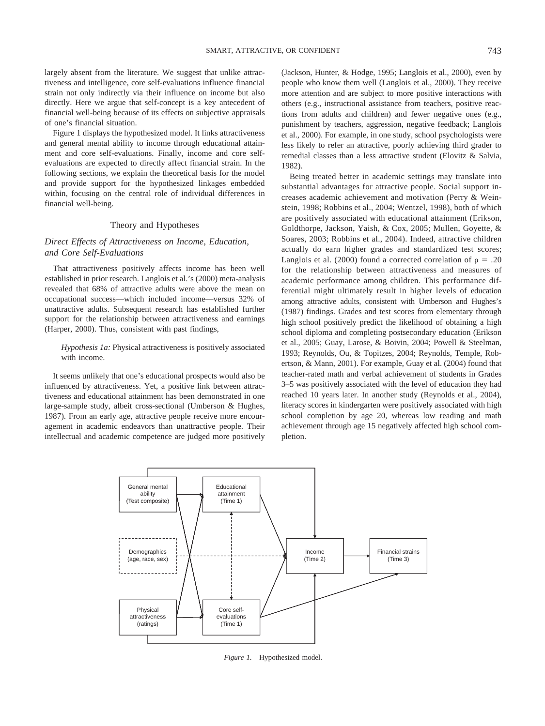largely absent from the literature. We suggest that unlike attractiveness and intelligence, core self-evaluations influence financial strain not only indirectly via their influence on income but also directly. Here we argue that self-concept is a key antecedent of financial well-being because of its effects on subjective appraisals of one's financial situation.

Figure 1 displays the hypothesized model. It links attractiveness and general mental ability to income through educational attainment and core self-evaluations. Finally, income and core selfevaluations are expected to directly affect financial strain. In the following sections, we explain the theoretical basis for the model and provide support for the hypothesized linkages embedded within, focusing on the central role of individual differences in financial well-being.

# Theory and Hypotheses

# *Direct Effects of Attractiveness on Income, Education, and Core Self-Evaluations*

That attractiveness positively affects income has been well established in prior research. Langlois et al.'s (2000) meta-analysis revealed that 68% of attractive adults were above the mean on occupational success—which included income—versus 32% of unattractive adults. Subsequent research has established further support for the relationship between attractiveness and earnings (Harper, 2000). Thus, consistent with past findings,

# *Hypothesis 1a:* Physical attractiveness is positively associated with income.

It seems unlikely that one's educational prospects would also be influenced by attractiveness. Yet, a positive link between attractiveness and educational attainment has been demonstrated in one large-sample study, albeit cross-sectional (Umberson & Hughes, 1987). From an early age, attractive people receive more encouragement in academic endeavors than unattractive people. Their intellectual and academic competence are judged more positively (Jackson, Hunter, & Hodge, 1995; Langlois et al., 2000), even by people who know them well (Langlois et al., 2000). They receive more attention and are subject to more positive interactions with others (e.g., instructional assistance from teachers, positive reactions from adults and children) and fewer negative ones (e.g., punishment by teachers, aggression, negative feedback; Langlois et al., 2000). For example, in one study, school psychologists were less likely to refer an attractive, poorly achieving third grader to remedial classes than a less attractive student (Elovitz & Salvia, 1982).

Being treated better in academic settings may translate into substantial advantages for attractive people. Social support increases academic achievement and motivation (Perry & Weinstein, 1998; Robbins et al., 2004; Wentzel, 1998), both of which are positively associated with educational attainment (Erikson, Goldthorpe, Jackson, Yaish, & Cox, 2005; Mullen, Goyette, & Soares, 2003; Robbins et al., 2004). Indeed, attractive children actually do earn higher grades and standardized test scores; Langlois et al. (2000) found a corrected correlation of  $\rho = .20$ for the relationship between attractiveness and measures of academic performance among children. This performance differential might ultimately result in higher levels of education among attractive adults, consistent with Umberson and Hughes's (1987) findings. Grades and test scores from elementary through high school positively predict the likelihood of obtaining a high school diploma and completing postsecondary education (Erikson et al., 2005; Guay, Larose, & Boivin, 2004; Powell & Steelman, 1993; Reynolds, Ou, & Topitzes, 2004; Reynolds, Temple, Robertson, & Mann, 2001). For example, Guay et al. (2004) found that teacher-rated math and verbal achievement of students in Grades 3–5 was positively associated with the level of education they had reached 10 years later. In another study (Reynolds et al., 2004), literacy scores in kindergarten were positively associated with high school completion by age 20, whereas low reading and math achievement through age 15 negatively affected high school completion.



*Figure 1.* Hypothesized model.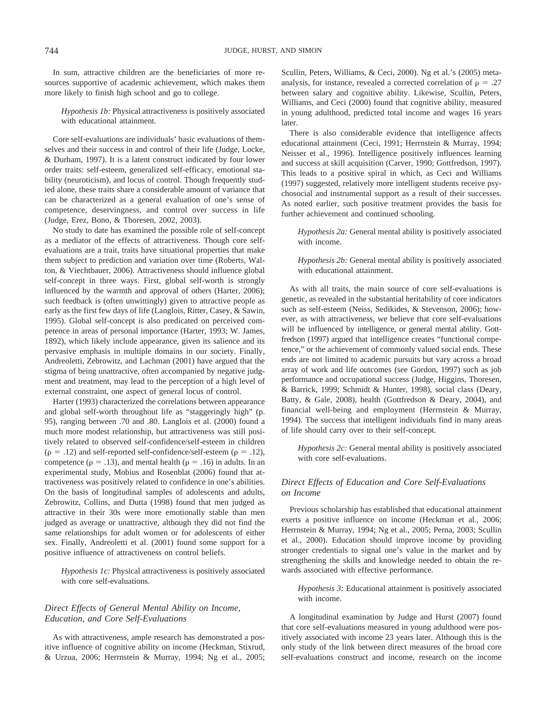In sum, attractive children are the beneficiaries of more resources supportive of academic achievement, which makes them more likely to finish high school and go to college.

*Hypothesis 1b:* Physical attractiveness is positively associated with educational attainment.

Core self-evaluations are individuals' basic evaluations of themselves and their success in and control of their life (Judge, Locke, & Durham, 1997). It is a latent construct indicated by four lower order traits: self-esteem, generalized self-efficacy, emotional stability (neuroticism), and locus of control. Though frequently studied alone, these traits share a considerable amount of variance that can be characterized as a general evaluation of one's sense of competence, deservingness, and control over success in life (Judge, Erez, Bono, & Thoresen, 2002, 2003).

No study to date has examined the possible role of self-concept as a mediator of the effects of attractiveness. Though core selfevaluations are a trait, traits have situational properties that make them subject to prediction and variation over time (Roberts, Walton, & Viechtbauer, 2006). Attractiveness should influence global self-concept in three ways. First, global self-worth is strongly influenced by the warmth and approval of others (Harter, 2006); such feedback is (often unwittingly) given to attractive people as early as the first few days of life (Langlois, Ritter, Casey, & Sawin, 1995). Global self-concept is also predicated on perceived competence in areas of personal importance (Harter, 1993; W. James, 1892), which likely include appearance, given its salience and its pervasive emphasis in multiple domains in our society. Finally, Andreoletti, Zebrowitz, and Lachman (2001) have argued that the stigma of being unattractive, often accompanied by negative judgment and treatment, may lead to the perception of a high level of external constraint, one aspect of general locus of control.

Harter (1993) characterized the correlations between appearance and global self-worth throughout life as "staggeringly high" (p. 95), ranging between .70 and .80. Langlois et al. (2000) found a much more modest relationship, but attractiveness was still positively related to observed self-confidence/self-esteem in children  $(\rho = .12)$  and self-reported self-confidence/self-esteem ( $\rho = .12$ ), competence ( $\rho = .13$ ), and mental health ( $\rho = .16$ ) in adults. In an experimental study, Mobius and Rosenblat (2006) found that attractiveness was positively related to confidence in one's abilities. On the basis of longitudinal samples of adolescents and adults, Zebrowitz, Collins, and Dutta (1998) found that men judged as attractive in their 30s were more emotionally stable than men judged as average or unattractive, although they did not find the same relationships for adult women or for adolescents of either sex. Finally, Andreoletti et al. (2001) found some support for a positive influence of attractiveness on control beliefs.

*Hypothesis 1c:* Physical attractiveness is positively associated with core self-evaluations.

# *Direct Effects of General Mental Ability on Income, Education, and Core Self-Evaluations*

As with attractiveness, ample research has demonstrated a positive influence of cognitive ability on income (Heckman, Stixrud, & Urzua, 2006; Herrnstein & Murray, 1994; Ng et al., 2005; Scullin, Peters, Williams, & Ceci, 2000). Ng et al.'s (2005) metaanalysis, for instance, revealed a corrected correlation of  $\rho = .27$ between salary and cognitive ability. Likewise, Scullin, Peters, Williams, and Ceci (2000) found that cognitive ability, measured in young adulthood, predicted total income and wages 16 years later.

There is also considerable evidence that intelligence affects educational attainment (Ceci, 1991; Herrnstein & Murray, 1994; Neisser et al., 1996). Intelligence positively influences learning and success at skill acquisition (Carver, 1990; Gottfredson, 1997). This leads to a positive spiral in which, as Ceci and Williams (1997) suggested, relatively more intelligent students receive psychosocial and instrumental support as a result of their successes. As noted earlier, such positive treatment provides the basis for further achievement and continued schooling.

*Hypothesis 2a:* General mental ability is positively associated with income.

*Hypothesis 2b:* General mental ability is positively associated with educational attainment.

As with all traits, the main source of core self-evaluations is genetic, as revealed in the substantial heritability of core indicators such as self-esteem (Neiss, Sedikides, & Stevenson, 2006); however, as with attractiveness, we believe that core self-evaluations will be influenced by intelligence, or general mental ability. Gottfredson (1997) argued that intelligence creates "functional competence," or the achievement of commonly valued social ends. These ends are not limited to academic pursuits but vary across a broad array of work and life outcomes (see Gordon, 1997) such as job performance and occupational success (Judge, Higgins, Thoresen, & Barrick, 1999; Schmidt & Hunter, 1998), social class (Deary, Batty, & Gale, 2008), health (Gottfredson & Deary, 2004), and financial well-being and employment (Herrnstein & Murray, 1994). The success that intelligent individuals find in many areas of life should carry over to their self-concept.

*Hypothesis 2c:* General mental ability is positively associated with core self-evaluations.

# *Direct Effects of Education and Core Self-Evaluations on Income*

Previous scholarship has established that educational attainment exerts a positive influence on income (Heckman et al., 2006; Herrnstein & Murray, 1994; Ng et al., 2005; Perna, 2003; Scullin et al., 2000). Education should improve income by providing stronger credentials to signal one's value in the market and by strengthening the skills and knowledge needed to obtain the rewards associated with effective performance.

*Hypothesis 3:* Educational attainment is positively associated with income.

A longitudinal examination by Judge and Hurst (2007) found that core self-evaluations measured in young adulthood were positively associated with income 23 years later. Although this is the only study of the link between direct measures of the broad core self-evaluations construct and income, research on the income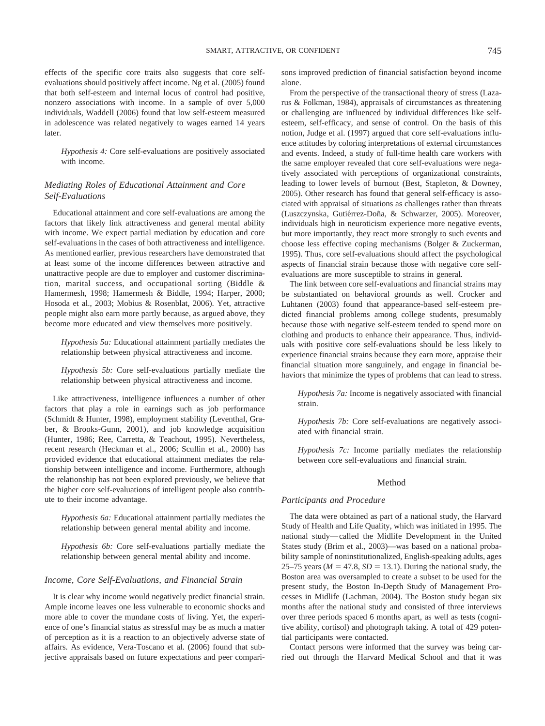effects of the specific core traits also suggests that core selfevaluations should positively affect income. Ng et al. (2005) found that both self-esteem and internal locus of control had positive, nonzero associations with income. In a sample of over 5,000 individuals, Waddell (2006) found that low self-esteem measured in adolescence was related negatively to wages earned 14 years later.

*Hypothesis 4:* Core self-evaluations are positively associated with income.

# *Mediating Roles of Educational Attainment and Core Self-Evaluations*

Educational attainment and core self-evaluations are among the factors that likely link attractiveness and general mental ability with income. We expect partial mediation by education and core self-evaluations in the cases of both attractiveness and intelligence. As mentioned earlier, previous researchers have demonstrated that at least some of the income differences between attractive and unattractive people are due to employer and customer discrimination, marital success, and occupational sorting (Biddle & Hamermesh, 1998; Hamermesh & Biddle, 1994; Harper, 2000; Hosoda et al., 2003; Mobius & Rosenblat, 2006). Yet, attractive people might also earn more partly because, as argued above, they become more educated and view themselves more positively.

*Hypothesis 5a:* Educational attainment partially mediates the relationship between physical attractiveness and income.

*Hypothesis 5b:* Core self-evaluations partially mediate the relationship between physical attractiveness and income.

Like attractiveness, intelligence influences a number of other factors that play a role in earnings such as job performance (Schmidt & Hunter, 1998), employment stability (Leventhal, Graber, & Brooks-Gunn, 2001), and job knowledge acquisition (Hunter, 1986; Ree, Carretta, & Teachout, 1995). Nevertheless, recent research (Heckman et al., 2006; Scullin et al., 2000) has provided evidence that educational attainment mediates the relationship between intelligence and income. Furthermore, although the relationship has not been explored previously, we believe that the higher core self-evaluations of intelligent people also contribute to their income advantage.

*Hypothesis 6a:* Educational attainment partially mediates the relationship between general mental ability and income.

*Hypothesis 6b:* Core self-evaluations partially mediate the relationship between general mental ability and income.

#### *Income, Core Self-Evaluations, and Financial Strain*

It is clear why income would negatively predict financial strain. Ample income leaves one less vulnerable to economic shocks and more able to cover the mundane costs of living. Yet, the experience of one's financial status as stressful may be as much a matter of perception as it is a reaction to an objectively adverse state of affairs. As evidence, Vera-Toscano et al. (2006) found that subjective appraisals based on future expectations and peer comparisons improved prediction of financial satisfaction beyond income alone.

From the perspective of the transactional theory of stress (Lazarus & Folkman, 1984), appraisals of circumstances as threatening or challenging are influenced by individual differences like selfesteem, self-efficacy, and sense of control. On the basis of this notion, Judge et al. (1997) argued that core self-evaluations influence attitudes by coloring interpretations of external circumstances and events. Indeed, a study of full-time health care workers with the same employer revealed that core self-evaluations were negatively associated with perceptions of organizational constraints, leading to lower levels of burnout (Best, Stapleton, & Downey, 2005). Other research has found that general self-efficacy is associated with appraisal of situations as challenges rather than threats (Luszczynska, Gutiérrez-Doña, & Schwarzer, 2005). Moreover, individuals high in neuroticism experience more negative events, but more importantly, they react more strongly to such events and choose less effective coping mechanisms (Bolger & Zuckerman, 1995). Thus, core self-evaluations should affect the psychological aspects of financial strain because those with negative core selfevaluations are more susceptible to strains in general.

The link between core self-evaluations and financial strains may be substantiated on behavioral grounds as well. Crocker and Luhtanen (2003) found that appearance-based self-esteem predicted financial problems among college students, presumably because those with negative self-esteem tended to spend more on clothing and products to enhance their appearance. Thus, individuals with positive core self-evaluations should be less likely to experience financial strains because they earn more, appraise their financial situation more sanguinely, and engage in financial behaviors that minimize the types of problems that can lead to stress.

*Hypothesis 7a:* Income is negatively associated with financial strain.

*Hypothesis 7b:* Core self-evaluations are negatively associated with financial strain.

*Hypothesis 7c:* Income partially mediates the relationship between core self-evaluations and financial strain.

# Method

## *Participants and Procedure*

The data were obtained as part of a national study, the Harvard Study of Health and Life Quality, which was initiated in 1995. The national study— called the Midlife Development in the United States study (Brim et al., 2003)—was based on a national probability sample of noninstitutionalized, English-speaking adults, ages 25–75 years ( $M = 47.8$ ,  $SD = 13.1$ ). During the national study, the Boston area was oversampled to create a subset to be used for the present study, the Boston In-Depth Study of Management Processes in Midlife (Lachman, 2004). The Boston study began six months after the national study and consisted of three interviews over three periods spaced 6 months apart, as well as tests (cognitive ability, cortisol) and photograph taking. A total of 429 potential participants were contacted.

Contact persons were informed that the survey was being carried out through the Harvard Medical School and that it was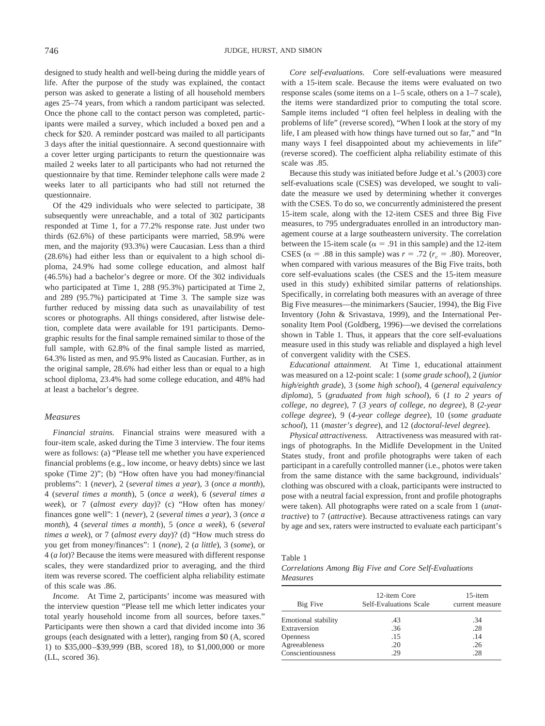designed to study health and well-being during the middle years of life. After the purpose of the study was explained, the contact person was asked to generate a listing of all household members ages 25–74 years, from which a random participant was selected. Once the phone call to the contact person was completed, participants were mailed a survey, which included a boxed pen and a check for \$20. A reminder postcard was mailed to all participants 3 days after the initial questionnaire. A second questionnaire with a cover letter urging participants to return the questionnaire was mailed 2 weeks later to all participants who had not returned the questionnaire by that time. Reminder telephone calls were made 2 weeks later to all participants who had still not returned the questionnaire.

Of the 429 individuals who were selected to participate, 38 subsequently were unreachable, and a total of 302 participants responded at Time 1, for a 77.2% response rate. Just under two thirds (62.6%) of these participants were married, 58.9% were men, and the majority (93.3%) were Caucasian. Less than a third (28.6%) had either less than or equivalent to a high school diploma, 24.9% had some college education, and almost half (46.5%) had a bachelor's degree or more. Of the 302 individuals who participated at Time 1, 288 (95.3%) participated at Time 2, and 289 (95.7%) participated at Time 3. The sample size was further reduced by missing data such as unavailability of test scores or photographs. All things considered, after listwise deletion, complete data were available for 191 participants. Demographic results for the final sample remained similar to those of the full sample, with 62.8% of the final sample listed as married, 64.3% listed as men, and 95.9% listed as Caucasian. Further, as in the original sample, 28.6% had either less than or equal to a high school diploma, 23.4% had some college education, and 48% had at least a bachelor's degree.

### *Measures*

*Financial strains.* Financial strains were measured with a four-item scale, asked during the Time 3 interview. The four items were as follows: (a) "Please tell me whether you have experienced financial problems (e.g., low income, or heavy debts) since we last spoke (Time 2)"; (b) "How often have you had money/financial problems": 1 (*never*), 2 (*several times a year*), 3 (*once a month*), 4 (*several times a month*), 5 (*once a week*), 6 (*several times a week*), or 7 (*almost every day*)? (c) "How often has money/ finances gone well": 1 (*never*), 2 (*several times a year*), 3 (*once a month*), 4 (*several times a month*), 5 (*once a week*), 6 (*several times a week*), or 7 (*almost every day*)? (d) "How much stress do you get from money/finances": 1 (*none*), 2 (*a little*), 3 (*some*), or 4 (*a lot*)? Because the items were measured with different response scales, they were standardized prior to averaging, and the third item was reverse scored. The coefficient alpha reliability estimate of this scale was .86.

*Income.* At Time 2, participants' income was measured with the interview question "Please tell me which letter indicates your total yearly household income from all sources, before taxes." Participants were then shown a card that divided income into 36 groups (each designated with a letter), ranging from \$0 (A, scored 1) to \$35,000 –\$39,999 (BB, scored 18), to \$1,000,000 or more (LL, scored 36).

*Core self-evaluations.* Core self-evaluations were measured with a 15-item scale. Because the items were evaluated on two response scales (some items on a 1–5 scale, others on a 1–7 scale), the items were standardized prior to computing the total score. Sample items included "I often feel helpless in dealing with the problems of life" (reverse scored), "When I look at the story of my life, I am pleased with how things have turned out so far," and "In many ways I feel disappointed about my achievements in life" (reverse scored). The coefficient alpha reliability estimate of this scale was .85.

Because this study was initiated before Judge et al.'s (2003) core self-evaluations scale (CSES) was developed, we sought to validate the measure we used by determining whether it converges with the CSES. To do so, we concurrently administered the present 15-item scale, along with the 12-item CSES and three Big Five measures, to 795 undergraduates enrolled in an introductory management course at a large southeastern university. The correlation between the 15-item scale ( $\alpha = .91$  in this sample) and the 12-item CSES ( $\alpha = .88$  in this sample) was  $r = .72$  ( $r_c = .80$ ). Moreover, when compared with various measures of the Big Five traits, both core self-evaluations scales (the CSES and the 15-item measure used in this study) exhibited similar patterns of relationships. Specifically, in correlating both measures with an average of three Big Five measures—the minimarkers (Saucier, 1994), the Big Five Inventory (John & Srivastava, 1999), and the International Personality Item Pool (Goldberg, 1996)—we devised the correlations shown in Table 1. Thus, it appears that the core self-evaluations measure used in this study was reliable and displayed a high level of convergent validity with the CSES.

*Educational attainment.* At Time 1, educational attainment was measured on a 12-point scale: 1 (*some grade school*), 2 (*junior high/eighth grade*), 3 (*some high school*), 4 (*general equivalency diploma*), 5 (*graduated from high school*), 6 (*1 to 2 years of college, no degree*), 7 (*3 years of college, no degree*), 8 (*2-year college degree*), 9 (*4-year college degree*), 10 (*some graduate school*), 11 (*master's degree*), and 12 (*doctoral-level degree*).

*Physical attractiveness.* Attractiveness was measured with ratings of photographs. In the Midlife Development in the United States study, front and profile photographs were taken of each participant in a carefully controlled manner (i.e., photos were taken from the same distance with the same background, individuals' clothing was obscured with a cloak, participants were instructed to pose with a neutral facial expression, front and profile photographs were taken). All photographs were rated on a scale from 1 (*unattractive*) to 7 (*attractive*). Because attractiveness ratings can vary by age and sex, raters were instructed to evaluate each participant's

Table 1

*Correlations Among Big Five and Core Self-Evaluations Measures*

| Big Five            | 12-item Core<br><b>Self-Evaluations Scale</b> | $15$ -item<br>current measure |  |  |
|---------------------|-----------------------------------------------|-------------------------------|--|--|
| Emotional stability | .43                                           | .34                           |  |  |
| Extraversion        | .36                                           | .28                           |  |  |
| <b>Openness</b>     | .15                                           | .14                           |  |  |
| Agreeableness       | .20                                           | .26                           |  |  |
| Conscientiousness   | -29                                           | .28                           |  |  |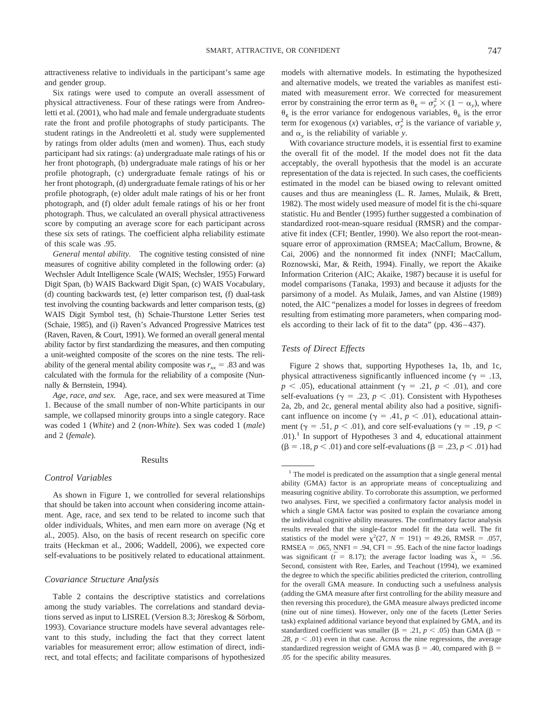attractiveness relative to individuals in the participant's same age and gender group.

Six ratings were used to compute an overall assessment of physical attractiveness. Four of these ratings were from Andreoletti et al. (2001), who had male and female undergraduate students rate the front and profile photographs of study participants. The student ratings in the Andreoletti et al. study were supplemented by ratings from older adults (men and women). Thus, each study participant had six ratings: (a) undergraduate male ratings of his or her front photograph, (b) undergraduate male ratings of his or her profile photograph, (c) undergraduate female ratings of his or her front photograph, (d) undergraduate female ratings of his or her profile photograph, (e) older adult male ratings of his or her front photograph, and (f) older adult female ratings of his or her front photograph. Thus, we calculated an overall physical attractiveness score by computing an average score for each participant across these six sets of ratings. The coefficient alpha reliability estimate of this scale was .95.

*General mental ability.* The cognitive testing consisted of nine measures of cognitive ability completed in the following order: (a) Wechsler Adult Intelligence Scale (WAIS; Wechsler, 1955) Forward Digit Span, (b) WAIS Backward Digit Span, (c) WAIS Vocabulary, (d) counting backwards test, (e) letter comparison test, (f) dual-task test involving the counting backwards and letter comparison tests, (g) WAIS Digit Symbol test, (h) Schaie-Thurstone Letter Series test (Schaie, 1985), and (i) Raven's Advanced Progressive Matrices test (Raven, Raven, & Court, 1991). We formed an overall general mental ability factor by first standardizing the measures, and then computing a unit-weighted composite of the scores on the nine tests. The reliability of the general mental ability composite was  $r_{xx} = .83$  and was calculated with the formula for the reliability of a composite (Nunnally & Bernstein, 1994).

*Age, race, and sex.* Age, race, and sex were measured at Time 1. Because of the small number of non-White participants in our sample, we collapsed minority groups into a single category. Race was coded 1 (*White*) and 2 (*non-White*). Sex was coded 1 (*male*) and 2 (*female*).

#### Results

#### *Control Variables*

As shown in Figure 1, we controlled for several relationships that should be taken into account when considering income attainment. Age, race, and sex tend to be related to income such that older individuals, Whites, and men earn more on average (Ng et al., 2005). Also, on the basis of recent research on specific core traits (Heckman et al., 2006; Waddell, 2006), we expected core self-evaluations to be positively related to educational attainment.

#### *Covariance Structure Analysis*

Table 2 contains the descriptive statistics and correlations among the study variables. The correlations and standard deviations served as input to LISREL (Version 8.3; Jöreskog  $&$  Sörbom, 1993). Covariance structure models have several advantages relevant to this study, including the fact that they correct latent variables for measurement error; allow estimation of direct, indirect, and total effects; and facilitate comparisons of hypothesized models with alternative models. In estimating the hypothesized and alternative models, we treated the variables as manifest estimated with measurement error. We corrected for measurement error by constraining the error term as  $\theta_{\varepsilon} = \sigma_y^2 \times (1 - \alpha_y)$ , where  $\theta_{\varepsilon}$  is the error variance for endogenous variables,  $\theta_{\varepsilon}$  is the error term for exogenous (*x*) variables,  $\sigma_y^2$  is the variance of variable *y*, and  $\alpha$ <sub>*n*</sub> is the reliability of variable *y*.

With covariance structure models, it is essential first to examine the overall fit of the model. If the model does not fit the data acceptably, the overall hypothesis that the model is an accurate representation of the data is rejected. In such cases, the coefficients estimated in the model can be biased owing to relevant omitted causes and thus are meaningless (L. R. James, Mulaik, & Brett, 1982). The most widely used measure of model fit is the chi-square statistic. Hu and Bentler (1995) further suggested a combination of standardized root-mean-square residual (RMSR) and the comparative fit index (CFI; Bentler, 1990). We also report the root-meansquare error of approximation (RMSEA; MacCallum, Browne, & Cai, 2006) and the nonnormed fit index (NNFI; MacCallum, Roznowski, Mar, & Reith, 1994). Finally, we report the Akaike Information Criterion (AIC; Akaike, 1987) because it is useful for model comparisons (Tanaka, 1993) and because it adjusts for the parsimony of a model. As Mulaik, James, and van Alstine (1989) noted, the AIC "penalizes a model for losses in degrees of freedom resulting from estimating more parameters, when comparing models according to their lack of fit to the data" (pp. 436 – 437).

# *Tests of Direct Effects*

Figure 2 shows that, supporting Hypotheses 1a, 1b, and 1c, physical attractiveness significantly influenced income ( $\gamma = .13$ ,  $p \lt 0.05$ , educational attainment ( $\gamma = 0.21$ ,  $p \lt 0.01$ ), and core self-evaluations ( $\gamma = .23$ ,  $p < .01$ ). Consistent with Hypotheses 2a, 2b, and 2c, general mental ability also had a positive, significant influence on income ( $\gamma = .41$ ,  $p < .01$ ), educational attainment ( $\gamma = .51$ ,  $p < .01$ ), and core self-evaluations ( $\gamma = .19$ ,  $p <$  $.01$ .<sup>1</sup> In support of Hypotheses 3 and 4, educational attainment  $(\beta = .18, p < .01)$  and core self-evaluations ( $\beta = .23, p < .01$ ) had

<sup>&</sup>lt;sup>1</sup> The model is predicated on the assumption that a single general mental ability (GMA) factor is an appropriate means of conceptualizing and measuring cognitive ability. To corroborate this assumption, we performed two analyses. First, we specified a confirmatory factor analysis model in which a single GMA factor was posited to explain the covariance among the individual cognitive ability measures. The confirmatory factor analysis results revealed that the single-factor model fit the data well. The fit statistics of the model were  $\chi^2(27, N = 191) = 49.26$ , RMSR = .057,  $RMSEA = .065$ ,  $NNFI = .94$ ,  $CFI = .95$ . Each of the nine factor loadings was significant ( $\bar{t} = 8.17$ ); the average factor loading was  $\bar{\lambda}_x = .56$ . Second, consistent with Ree, Earles, and Teachout (1994), we examined the degree to which the specific abilities predicted the criterion, controlling for the overall GMA measure. In conducting such a usefulness analysis (adding the GMA measure after first controlling for the ability measure and then reversing this procedure), the GMA measure always predicted income (nine out of nine times). However, only one of the facets (Letter Series task) explained additional variance beyond that explained by GMA, and its standardized coefficient was smaller ( $\beta = .21$ ,  $p < .05$ ) than GMA ( $\beta =$ .28,  $p < .01$ ) even in that case. Across the nine regressions, the average standardized regression weight of GMA was  $\beta = .40$ , compared with  $\beta =$ .05 for the specific ability measures.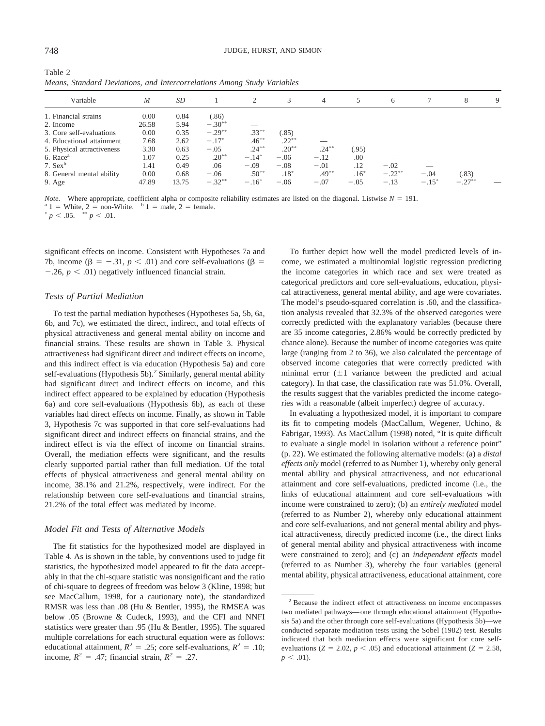| Table 2                                                                 |  |  |  |
|-------------------------------------------------------------------------|--|--|--|
| Means, Standard Deviations, and Intercorrelations Among Study Variables |  |  |  |

|                            |       |           |           | $\circ$        |          |          |        |           |          |           |   |
|----------------------------|-------|-----------|-----------|----------------|----------|----------|--------|-----------|----------|-----------|---|
| Variable                   | M     | <b>SD</b> |           | $\overline{c}$ |          | 4        |        | 6         |          | 8         | 9 |
| 1. Financial strains       | 0.00  | 0.84      | (.86)     |                |          |          |        |           |          |           |   |
| 2. Income                  | 26.58 | 5.94      | $-.30**$  |                |          |          |        |           |          |           |   |
| 3. Core self-evaluations   | 0.00  | 0.35      | $-.29***$ | $.33***$       | (.85)    |          |        |           |          |           |   |
| 4. Educational attainment  | 7.68  | 2.62      | $-.17*$   | $.46***$       | $.22***$ |          |        |           |          |           |   |
| 5. Physical attractiveness | 3.30  | 0.63      | $-.05$    | $.24***$       | $.20***$ | $.24***$ | (.95)  |           |          |           |   |
| 6. Race <sup>a</sup>       | 1.07  | 0.25      | $.20***$  | $-.14*$        | $-.06$   | $-.12$   | .00    |           |          |           |   |
| 7. $Sex^b$                 | 1.41  | 0.49      | .06       | $-.09$         | $-.08$   | $-.01$   | .12    | $-.02$    |          |           |   |
| 8. General mental ability  | 0.00  | 0.68      | $-.06$    | $.50***$       | $.18*$   | $.49***$ | $.16*$ | $-.22***$ | $-.04$   | (.83)     |   |
| $9. \text{Age}$            | 47.89 | 13.75     | $-.32***$ | $-.16*$        | $-.06$   | $-.07$   | $-.05$ | $-.13$    | $-.15^*$ | $-.27***$ |   |

*Note.* Where appropriate, coefficient alpha or composite reliability estimates are listed on the diagonal. Listwise  $N = 191$ .<br><sup>a</sup> 1 = White, 2 = non-White. <sup>b</sup> 1 = male, 2 = female. <sup>a</sup> 1 = White, 2 = non-White. <sup>b</sup> 1 = male, 2 = female.<br>
<sup>\*</sup> *p* < .05. \*\* *p* < .01.

 $< .05.$  \*\*  $p < .01.$ 

significant effects on income. Consistent with Hypotheses 7a and 7b, income ( $\beta = -.31$ ,  $p < .01$ ) and core self-evaluations ( $\beta =$  $-0.26$ ,  $p < 0.01$ ) negatively influenced financial strain.

# *Tests of Partial Mediation*

To test the partial mediation hypotheses (Hypotheses 5a, 5b, 6a, 6b, and 7c), we estimated the direct, indirect, and total effects of physical attractiveness and general mental ability on income and financial strains. These results are shown in Table 3. Physical attractiveness had significant direct and indirect effects on income, and this indirect effect is via education (Hypothesis 5a) and core self-evaluations (Hypothesis 5b).<sup>2</sup> Similarly, general mental ability had significant direct and indirect effects on income, and this indirect effect appeared to be explained by education (Hypothesis 6a) and core self-evaluations (Hypothesis 6b), as each of these variables had direct effects on income. Finally, as shown in Table 3, Hypothesis 7c was supported in that core self-evaluations had significant direct and indirect effects on financial strains, and the indirect effect is via the effect of income on financial strains. Overall, the mediation effects were significant, and the results clearly supported partial rather than full mediation. Of the total effects of physical attractiveness and general mental ability on income, 38.1% and 21.2%, respectively, were indirect. For the relationship between core self-evaluations and financial strains, 21.2% of the total effect was mediated by income.

#### *Model Fit and Tests of Alternative Models*

The fit statistics for the hypothesized model are displayed in Table 4. As is shown in the table, by conventions used to judge fit statistics, the hypothesized model appeared to fit the data acceptably in that the chi-square statistic was nonsignificant and the ratio of chi-square to degrees of freedom was below 3 (Kline, 1998; but see MacCallum, 1998, for a cautionary note), the standardized RMSR was less than .08 (Hu & Bentler, 1995), the RMSEA was below .05 (Browne & Cudeck, 1993), and the CFI and NNFI statistics were greater than .95 (Hu & Bentler, 1995). The squared multiple correlations for each structural equation were as follows: educational attainment,  $R^2 = .25$ ; core self-evaluations,  $R^2 = .10$ ; income,  $R^2 = .47$ ; financial strain,  $R^2 = .27$ .

To further depict how well the model predicted levels of income, we estimated a multinomial logistic regression predicting the income categories in which race and sex were treated as categorical predictors and core self-evaluations, education, physical attractiveness, general mental ability, and age were covariates. The model's pseudo-squared correlation is .60, and the classification analysis revealed that 32.3% of the observed categories were correctly predicted with the explanatory variables (because there are 35 income categories, 2.86% would be correctly predicted by chance alone). Because the number of income categories was quite large (ranging from 2 to 36), we also calculated the percentage of observed income categories that were correctly predicted with minimal error  $(\pm 1$  variance between the predicted and actual category). In that case, the classification rate was 51.0%. Overall, the results suggest that the variables predicted the income categories with a reasonable (albeit imperfect) degree of accuracy.

In evaluating a hypothesized model, it is important to compare its fit to competing models (MacCallum, Wegener, Uchino, & Fabrigar, 1993). As MacCallum (1998) noted, "It is quite difficult to evaluate a single model in isolation without a reference point" (p. 22). We estimated the following alternative models: (a) a *distal effects only* model (referred to as Number 1), whereby only general mental ability and physical attractiveness, and not educational attainment and core self-evaluations, predicted income (i.e., the links of educational attainment and core self-evaluations with income were constrained to zero); (b) an *entirely mediated* model (referred to as Number 2), whereby only educational attainment and core self-evaluations, and not general mental ability and physical attractiveness, directly predicted income (i.e., the direct links of general mental ability and physical attractiveness with income were constrained to zero); and (c) an *independent effects* model (referred to as Number 3), whereby the four variables (general mental ability, physical attractiveness, educational attainment, core

<sup>2</sup> Because the indirect effect of attractiveness on income encompasses two mediated pathways— one through educational attainment (Hypothesis 5a) and the other through core self-evaluations (Hypothesis 5b)—we conducted separate mediation tests using the Sobel (1982) test. Results indicated that both mediation effects were significant for core selfevaluations ( $Z = 2.02$ ,  $p < .05$ ) and educational attainment ( $Z = 2.58$ ,  $p < .01$ ).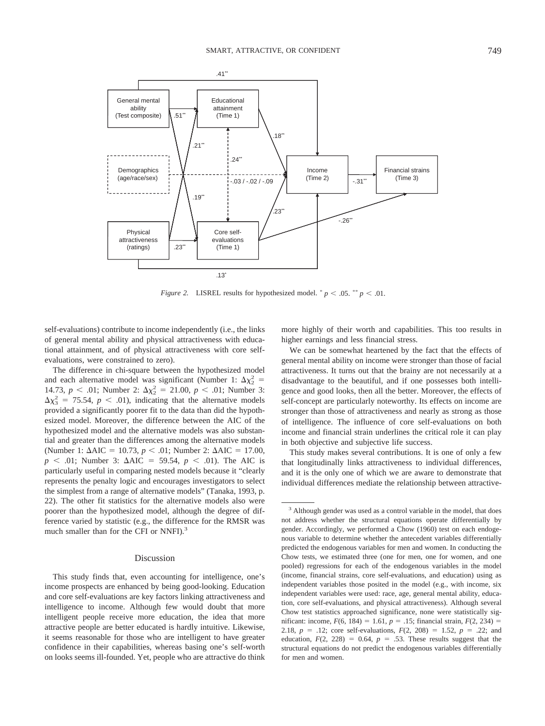

*Figure 2.* LISREL results for hypothesized model.  $p < .05$ .  $\binom{p}{r} < .01$ .

self-evaluations) contribute to income independently (i.e., the links of general mental ability and physical attractiveness with educational attainment, and of physical attractiveness with core selfevaluations, were constrained to zero).

The difference in chi-square between the hypothesized model and each alternative model was significant (Number 1:  $\Delta \chi_2^2$  = 14.73,  $p < .01$ ; Number 2:  $\Delta \chi^2 = 21.00$ ,  $p < .01$ ; Number 3:  $\Delta\chi^2$  = 75.54, *p* < .01), indicating that the alternative models provided a significantly poorer fit to the data than did the hypothesized model. Moreover, the difference between the AIC of the hypothesized model and the alternative models was also substantial and greater than the differences among the alternative models (Number 1:  $\Delta AIC = 10.73$ ,  $p < .01$ ; Number 2:  $\Delta AIC = 17.00$ ,  $p \le 0.01$ ; Number 3:  $\Delta AIC = 59.54$ ,  $p \le 0.01$ ). The AIC is particularly useful in comparing nested models because it "clearly represents the penalty logic and encourages investigators to select the simplest from a range of alternative models" (Tanaka, 1993, p. 22). The other fit statistics for the alternative models also were poorer than the hypothesized model, although the degree of difference varied by statistic (e.g., the difference for the RMSR was much smaller than for the CFI or NNFI).<sup>3</sup>

# Discussion

This study finds that, even accounting for intelligence, one's income prospects are enhanced by being good-looking. Education and core self-evaluations are key factors linking attractiveness and intelligence to income. Although few would doubt that more intelligent people receive more education, the idea that more attractive people are better educated is hardly intuitive. Likewise, it seems reasonable for those who are intelligent to have greater confidence in their capabilities, whereas basing one's self-worth on looks seems ill-founded. Yet, people who are attractive do think more highly of their worth and capabilities. This too results in higher earnings and less financial stress.

We can be somewhat heartened by the fact that the effects of general mental ability on income were stronger than those of facial attractiveness. It turns out that the brainy are not necessarily at a disadvantage to the beautiful, and if one possesses both intelligence and good looks, then all the better. Moreover, the effects of self-concept are particularly noteworthy. Its effects on income are stronger than those of attractiveness and nearly as strong as those of intelligence. The influence of core self-evaluations on both income and financial strain underlines the critical role it can play in both objective and subjective life success.

This study makes several contributions. It is one of only a few that longitudinally links attractiveness to individual differences, and it is the only one of which we are aware to demonstrate that individual differences mediate the relationship between attractive-

<sup>&</sup>lt;sup>3</sup> Although gender was used as a control variable in the model, that does not address whether the structural equations operate differentially by gender. Accordingly, we performed a Chow (1960) test on each endogenous variable to determine whether the antecedent variables differentially predicted the endogenous variables for men and women. In conducting the Chow tests, we estimated three (one for men, one for women, and one pooled) regressions for each of the endogenous variables in the model (income, financial strains, core self-evaluations, and education) using as independent variables those posited in the model (e.g., with income, six independent variables were used: race, age, general mental ability, education, core self-evaluations, and physical attractiveness). Although several Chow test statistics approached significance, none were statistically significant: income,  $F(6, 184) = 1.61$ ,  $p = .15$ ; financial strain,  $F(2, 234) =$ 2.18,  $p = .12$ ; core self-evaluations,  $F(2, 208) = 1.52$ ,  $p = .22$ ; and education,  $F(2, 228) = 0.64$ ,  $p = .53$ . These results suggest that the structural equations do not predict the endogenous variables differentially for men and women.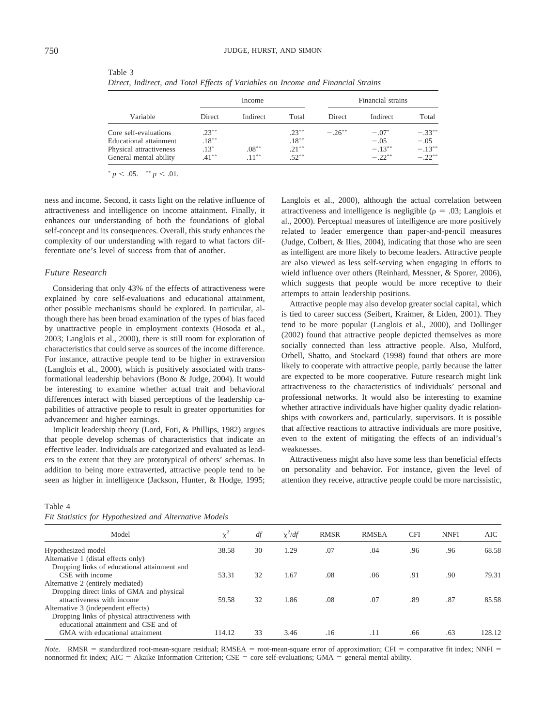|                                                                                                      |                                            | Income               |                                              | Financial strains |                                            |                                               |  |  |
|------------------------------------------------------------------------------------------------------|--------------------------------------------|----------------------|----------------------------------------------|-------------------|--------------------------------------------|-----------------------------------------------|--|--|
| Variable                                                                                             | <b>Direct</b>                              | Indirect             | Total                                        | <b>Direct</b>     | Indirect                                   | Total                                         |  |  |
| Core self-evaluations<br>Educational attainment<br>Physical attractiveness<br>General mental ability | $.23***$<br>$.18***$<br>$.13*$<br>$.41***$ | $.08***$<br>$.11***$ | $.23***$<br>$.18***$<br>$.21***$<br>$.52***$ | $-.26***$         | $-.07*$<br>$-.05$<br>$-.13***$<br>$-.22**$ | $-.33***$<br>$-.05$<br>$-.13***$<br>$-.22***$ |  |  |

Table 3 *Direct, Indirect, and Total Effects of Variables on Income and Financial Strains*

 $p < .05.$  \*\*  $p < .01.$ 

ness and income. Second, it casts light on the relative influence of attractiveness and intelligence on income attainment. Finally, it enhances our understanding of both the foundations of global self-concept and its consequences. Overall, this study enhances the complexity of our understanding with regard to what factors differentiate one's level of success from that of another.

## *Future Research*

Considering that only 43% of the effects of attractiveness were explained by core self-evaluations and educational attainment, other possible mechanisms should be explored. In particular, although there has been broad examination of the types of bias faced by unattractive people in employment contexts (Hosoda et al., 2003; Langlois et al., 2000), there is still room for exploration of characteristics that could serve as sources of the income difference. For instance, attractive people tend to be higher in extraversion (Langlois et al., 2000), which is positively associated with transformational leadership behaviors (Bono & Judge, 2004). It would be interesting to examine whether actual trait and behavioral differences interact with biased perceptions of the leadership capabilities of attractive people to result in greater opportunities for advancement and higher earnings.

Implicit leadership theory (Lord, Foti, & Phillips, 1982) argues that people develop schemas of characteristics that indicate an effective leader. Individuals are categorized and evaluated as leaders to the extent that they are prototypical of others' schemas. In addition to being more extraverted, attractive people tend to be seen as higher in intelligence (Jackson, Hunter, & Hodge, 1995;

# Table 4 *Fit Statistics for Hypothesized and Alternative Models*

Langlois et al., 2000), although the actual correlation between attractiveness and intelligence is negligible ( $\rho = .03$ ; Langlois et al., 2000). Perceptual measures of intelligence are more positively related to leader emergence than paper-and-pencil measures (Judge, Colbert, & Ilies, 2004), indicating that those who are seen as intelligent are more likely to become leaders. Attractive people are also viewed as less self-serving when engaging in efforts to wield influence over others (Reinhard, Messner, & Sporer, 2006), which suggests that people would be more receptive to their attempts to attain leadership positions.

Attractive people may also develop greater social capital, which is tied to career success (Seibert, Kraimer, & Liden, 2001). They tend to be more popular (Langlois et al., 2000), and Dollinger (2002) found that attractive people depicted themselves as more socially connected than less attractive people. Also, Mulford, Orbell, Shatto, and Stockard (1998) found that others are more likely to cooperate with attractive people, partly because the latter are expected to be more cooperative. Future research might link attractiveness to the characteristics of individuals' personal and professional networks. It would also be interesting to examine whether attractive individuals have higher quality dyadic relationships with coworkers and, particularly, supervisors. It is possible that affective reactions to attractive individuals are more positive, even to the extent of mitigating the effects of an individual's weaknesses.

Attractiveness might also have some less than beneficial effects on personality and behavior. For instance, given the level of attention they receive, attractive people could be more narcissistic,

| Model                                          | $\chi^2$ | df | $\chi^2/df$ | <b>RMSR</b> | <b>RMSEA</b> | <b>CFI</b> | <b>NNFI</b> | AIC.   |
|------------------------------------------------|----------|----|-------------|-------------|--------------|------------|-------------|--------|
| Hypothesized model                             | 38.58    | 30 | 1.29        | .07         | .04          | .96        | .96         | 68.58  |
| Alternative 1 (distal effects only)            |          |    |             |             |              |            |             |        |
| Dropping links of educational attainment and   |          |    |             |             |              |            |             |        |
| CSE with income                                | 53.31    | 32 | 1.67        | .08         | .06          | .91        | .90         | 79.31  |
| Alternative 2 (entirely mediated)              |          |    |             |             |              |            |             |        |
| Dropping direct links of GMA and physical      |          |    |             |             |              |            |             |        |
| attractiveness with income                     | 59.58    | 32 | 1.86        | .08         | .07          | .89        | .87         | 85.58  |
| Alternative 3 (independent effects)            |          |    |             |             |              |            |             |        |
| Dropping links of physical attractiveness with |          |    |             |             |              |            |             |        |
| educational attainment and CSE and of          |          |    |             |             |              |            |             |        |
| GMA with educational attainment                | 114.12   | 33 | 3.46        | .16         | .11          | .66        | .63         | 128.12 |

Note. RMSR = standardized root-mean-square residual; RMSEA = root-mean-square error of approximation; CFI = comparative fit index; NNFI = nonnormed fit index; AIC = Akaike Information Criterion; CSE = core self-evaluations; GMA = general mental ability.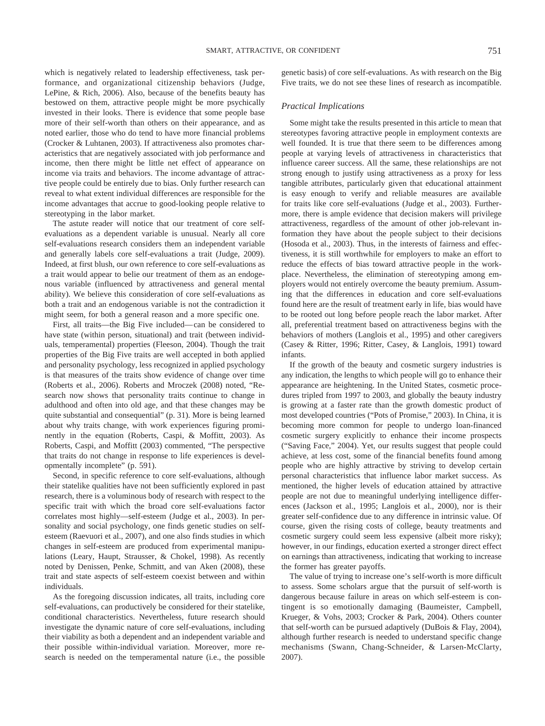which is negatively related to leadership effectiveness, task performance, and organizational citizenship behaviors (Judge, LePine, & Rich, 2006). Also, because of the benefits beauty has bestowed on them, attractive people might be more psychically invested in their looks. There is evidence that some people base more of their self-worth than others on their appearance, and as noted earlier, those who do tend to have more financial problems (Crocker & Luhtanen, 2003). If attractiveness also promotes characteristics that are negatively associated with job performance and income, then there might be little net effect of appearance on income via traits and behaviors. The income advantage of attractive people could be entirely due to bias. Only further research can reveal to what extent individual differences are responsible for the income advantages that accrue to good-looking people relative to stereotyping in the labor market.

The astute reader will notice that our treatment of core selfevaluations as a dependent variable is unusual. Nearly all core self-evaluations research considers them an independent variable and generally labels core self-evaluations a trait (Judge, 2009). Indeed, at first blush, our own reference to core self-evaluations as a trait would appear to belie our treatment of them as an endogenous variable (influenced by attractiveness and general mental ability). We believe this consideration of core self-evaluations as both a trait and an endogenous variable is not the contradiction it might seem, for both a general reason and a more specific one.

First, all traits—the Big Five included— can be considered to have state (within person, situational) and trait (between individuals, temperamental) properties (Fleeson, 2004). Though the trait properties of the Big Five traits are well accepted in both applied and personality psychology, less recognized in applied psychology is that measures of the traits show evidence of change over time (Roberts et al., 2006). Roberts and Mroczek (2008) noted, "Research now shows that personality traits continue to change in adulthood and often into old age, and that these changes may be quite substantial and consequential" (p. 31). More is being learned about why traits change, with work experiences figuring prominently in the equation (Roberts, Caspi, & Moffitt, 2003). As Roberts, Caspi, and Moffitt (2003) commented, "The perspective that traits do not change in response to life experiences is developmentally incomplete" (p. 591).

Second, in specific reference to core self-evaluations, although their statelike qualities have not been sufficiently explored in past research, there is a voluminous body of research with respect to the specific trait with which the broad core self-evaluations factor correlates most highly—self-esteem (Judge et al., 2003). In personality and social psychology, one finds genetic studies on selfesteem (Raevuori et al., 2007), and one also finds studies in which changes in self-esteem are produced from experimental manipulations (Leary, Haupt, Strausser, & Chokel, 1998). As recently noted by Denissen, Penke, Schmitt, and van Aken (2008), these trait and state aspects of self-esteem coexist between and within individuals.

As the foregoing discussion indicates, all traits, including core self-evaluations, can productively be considered for their statelike, conditional characteristics. Nevertheless, future research should investigate the dynamic nature of core self-evaluations, including their viability as both a dependent and an independent variable and their possible within-individual variation. Moreover, more research is needed on the temperamental nature (i.e., the possible genetic basis) of core self-evaluations. As with research on the Big Five traits, we do not see these lines of research as incompatible.

# *Practical Implications*

Some might take the results presented in this article to mean that stereotypes favoring attractive people in employment contexts are well founded. It is true that there seem to be differences among people at varying levels of attractiveness in characteristics that influence career success. All the same, these relationships are not strong enough to justify using attractiveness as a proxy for less tangible attributes, particularly given that educational attainment is easy enough to verify and reliable measures are available for traits like core self-evaluations (Judge et al., 2003). Furthermore, there is ample evidence that decision makers will privilege attractiveness, regardless of the amount of other job-relevant information they have about the people subject to their decisions (Hosoda et al., 2003). Thus, in the interests of fairness and effectiveness, it is still worthwhile for employers to make an effort to reduce the effects of bias toward attractive people in the workplace. Nevertheless, the elimination of stereotyping among employers would not entirely overcome the beauty premium. Assuming that the differences in education and core self-evaluations found here are the result of treatment early in life, bias would have to be rooted out long before people reach the labor market. After all, preferential treatment based on attractiveness begins with the behaviors of mothers (Langlois et al., 1995) and other caregivers (Casey & Ritter, 1996; Ritter, Casey, & Langlois, 1991) toward infants.

If the growth of the beauty and cosmetic surgery industries is any indication, the lengths to which people will go to enhance their appearance are heightening. In the United States, cosmetic procedures tripled from 1997 to 2003, and globally the beauty industry is growing at a faster rate than the growth domestic product of most developed countries ("Pots of Promise," 2003). In China, it is becoming more common for people to undergo loan-financed cosmetic surgery explicitly to enhance their income prospects ("Saving Face," 2004). Yet, our results suggest that people could achieve, at less cost, some of the financial benefits found among people who are highly attractive by striving to develop certain personal characteristics that influence labor market success. As mentioned, the higher levels of education attained by attractive people are not due to meaningful underlying intelligence differences (Jackson et al., 1995; Langlois et al., 2000), nor is their greater self-confidence due to any difference in intrinsic value. Of course, given the rising costs of college, beauty treatments and cosmetic surgery could seem less expensive (albeit more risky); however, in our findings, education exerted a stronger direct effect on earnings than attractiveness, indicating that working to increase the former has greater payoffs.

The value of trying to increase one's self-worth is more difficult to assess. Some scholars argue that the pursuit of self-worth is dangerous because failure in areas on which self-esteem is contingent is so emotionally damaging (Baumeister, Campbell, Krueger, & Vohs, 2003; Crocker & Park, 2004). Others counter that self-worth can be pursued adaptively (DuBois & Flay, 2004), although further research is needed to understand specific change mechanisms (Swann, Chang-Schneider, & Larsen-McClarty, 2007).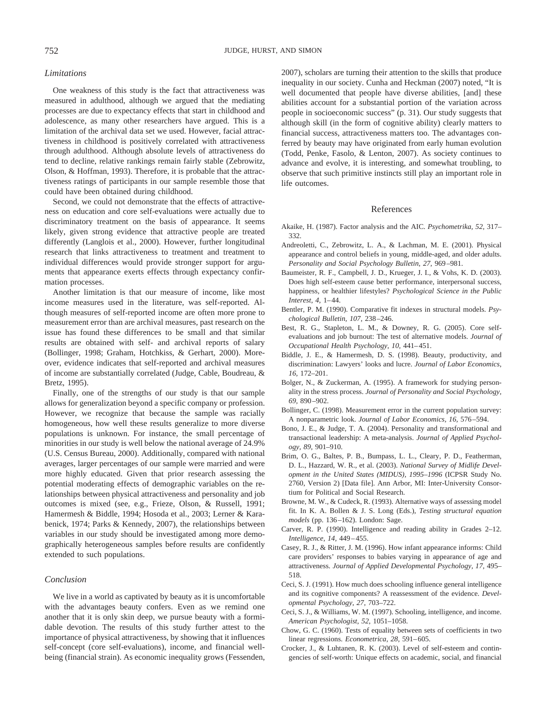# *Limitations*

One weakness of this study is the fact that attractiveness was measured in adulthood, although we argued that the mediating processes are due to expectancy effects that start in childhood and adolescence, as many other researchers have argued. This is a limitation of the archival data set we used. However, facial attractiveness in childhood is positively correlated with attractiveness through adulthood. Although absolute levels of attractiveness do tend to decline, relative rankings remain fairly stable (Zebrowitz, Olson, & Hoffman, 1993). Therefore, it is probable that the attractiveness ratings of participants in our sample resemble those that could have been obtained during childhood.

Second, we could not demonstrate that the effects of attractiveness on education and core self-evaluations were actually due to discriminatory treatment on the basis of appearance. It seems likely, given strong evidence that attractive people are treated differently (Langlois et al., 2000). However, further longitudinal research that links attractiveness to treatment and treatment to individual differences would provide stronger support for arguments that appearance exerts effects through expectancy confirmation processes.

Another limitation is that our measure of income, like most income measures used in the literature, was self-reported. Although measures of self-reported income are often more prone to measurement error than are archival measures, past research on the issue has found these differences to be small and that similar results are obtained with self- and archival reports of salary (Bollinger, 1998; Graham, Hotchkiss, & Gerhart, 2000). Moreover, evidence indicates that self-reported and archival measures of income are substantially correlated (Judge, Cable, Boudreau, & Bretz, 1995).

Finally, one of the strengths of our study is that our sample allows for generalization beyond a specific company or profession. However, we recognize that because the sample was racially homogeneous, how well these results generalize to more diverse populations is unknown. For instance, the small percentage of minorities in our study is well below the national average of 24.9% (U.S. Census Bureau, 2000). Additionally, compared with national averages, larger percentages of our sample were married and were more highly educated. Given that prior research assessing the potential moderating effects of demographic variables on the relationships between physical attractiveness and personality and job outcomes is mixed (see, e.g., Frieze, Olson, & Russell, 1991; Hamermesh & Biddle, 1994; Hosoda et al., 2003; Lerner & Karabenick, 1974; Parks & Kennedy, 2007), the relationships between variables in our study should be investigated among more demographically heterogeneous samples before results are confidently extended to such populations.

# *Conclusion*

We live in a world as captivated by beauty as it is uncomfortable with the advantages beauty confers. Even as we remind one another that it is only skin deep, we pursue beauty with a formidable devotion. The results of this study further attest to the importance of physical attractiveness, by showing that it influences self-concept (core self-evaluations), income, and financial wellbeing (financial strain). As economic inequality grows (Fessenden, 2007), scholars are turning their attention to the skills that produce inequality in our society. Cunha and Heckman (2007) noted, "It is well documented that people have diverse abilities, [and] these abilities account for a substantial portion of the variation across people in socioeconomic success" (p. 31). Our study suggests that although skill (in the form of cognitive ability) clearly matters to financial success, attractiveness matters too. The advantages conferred by beauty may have originated from early human evolution (Todd, Penke, Fasolo, & Lenton, 2007). As society continues to advance and evolve, it is interesting, and somewhat troubling, to observe that such primitive instincts still play an important role in life outcomes.

#### References

- Akaike, H. (1987). Factor analysis and the AIC. *Psychometrika, 52,* 317– 332.
- Andreoletti, C., Zebrowitz, L. A., & Lachman, M. E. (2001). Physical appearance and control beliefs in young, middle-aged, and older adults. *Personality and Social Psychology Bulletin, 27,* 969 –981.
- Baumeister, R. F., Campbell, J. D., Krueger, J. I., & Vohs, K. D. (2003). Does high self-esteem cause better performance, interpersonal success, happiness, or healthier lifestyles? *Psychological Science in the Public Interest, 4,* 1– 44.
- Bentler, P. M. (1990). Comparative fit indexes in structural models. *Psychological Bulletin, 107,* 238 –246.
- Best, R. G., Stapleton, L. M., & Downey, R. G. (2005). Core selfevaluations and job burnout: The test of alternative models. *Journal of Occupational Health Psychology, 10,* 441– 451.
- Biddle, J. E., & Hamermesh, D. S. (1998). Beauty, productivity, and discrimination: Lawyers' looks and lucre. *Journal of Labor Economics, 16,* 172–201.
- Bolger, N., & Zuckerman, A. (1995). A framework for studying personality in the stress process. *Journal of Personality and Social Psychology, 69,* 890 –902.
- Bollinger, C. (1998). Measurement error in the current population survey: A nonparametric look. *Journal of Labor Economics, 16,* 576 –594.
- Bono, J. E., & Judge, T. A. (2004). Personality and transformational and transactional leadership: A meta-analysis. *Journal of Applied Psychology, 89,* 901–910.
- Brim, O. G., Baltes, P. B., Bumpass, L. L., Cleary, P. D., Featherman, D. L., Hazzard, W. R., et al. (2003). *National Survey of Midlife Development in the United States (MIDUS), 1995–1996* (ICPSR Study No. 2760, Version 2) [Data file]. Ann Arbor, MI: Inter-University Consortium for Political and Social Research.
- Browne, M. W., & Cudeck, R. (1993). Alternative ways of assessing model fit. In K. A. Bollen & J. S. Long (Eds.), *Testing structural equation models* (pp. 136 –162). London: Sage.
- Carver, R. P. (1990). Intelligence and reading ability in Grades 2–12. *Intelligence, 14,* 449 – 455.
- Casey, R. J., & Ritter, J. M. (1996). How infant appearance informs: Child care providers' responses to babies varying in appearance of age and attractiveness. *Journal of Applied Developmental Psychology, 17,* 495– 518.
- Ceci, S. J. (1991). How much does schooling influence general intelligence and its cognitive components? A reassessment of the evidence. *Developmental Psychology, 27,* 703–722.
- Ceci, S. J., & Williams, W. M. (1997). Schooling, intelligence, and income. *American Psychologist, 52,* 1051–1058.
- Chow, G. C. (1960). Tests of equality between sets of coefficients in two linear regressions. *Econometrica*, 28, 591-605.
- Crocker, J., & Luhtanen, R. K. (2003). Level of self-esteem and contingencies of self-worth: Unique effects on academic, social, and financial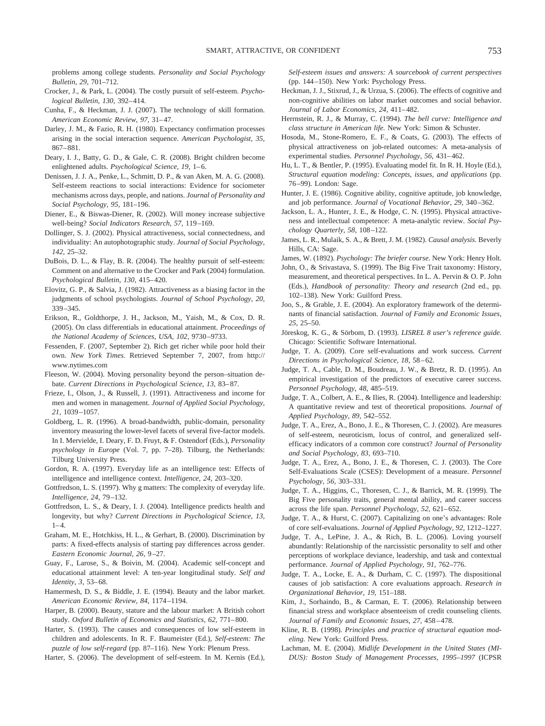problems among college students. *Personality and Social Psychology Bulletin, 29,* 701–712.

- Crocker, J., & Park, L. (2004). The costly pursuit of self-esteem. *Psychological Bulletin, 130,* 392– 414.
- Cunha, F., & Heckman, J. J. (2007). The technology of skill formation. *American Economic Review, 97,* 31– 47.
- Darley, J. M., & Fazio, R. H. (1980). Expectancy confirmation processes arising in the social interaction sequence. *American Psychologist, 35,* 867– 881.
- Deary, I. J., Batty, G. D., & Gale, C. R. (2008). Bright children become enlightened adults. *Psychological Science*, 19, 1-6.
- Denissen, J. J. A., Penke, L., Schmitt, D. P., & van Aken, M. A. G. (2008). Self-esteem reactions to social interactions: Evidence for sociometer mechanisms across days, people, and nations. *Journal of Personality and Social Psychology, 95,* 181–196.
- Diener, E., & Biswas-Diener, R. (2002). Will money increase subjective well-being? *Social Indicators Research, 57,* 119 –169.
- Dollinger, S. J. (2002). Physical attractiveness, social connectedness, and individuality: An autophotographic study. *Journal of Social Psychology, 142,* 25–32.
- DuBois, D. L., & Flay, B. R. (2004). The healthy pursuit of self-esteem: Comment on and alternative to the Crocker and Park (2004) formulation. *Psychological Bulletin, 130,* 415– 420.
- Elovitz, G. P., & Salvia, J. (1982). Attractiveness as a biasing factor in the judgments of school psychologists. *Journal of School Psychology, 20,* 339 –345.
- Erikson, R., Goldthorpe, J. H., Jackson, M., Yaish, M., & Cox, D. R. (2005). On class differentials in educational attainment. *Proceedings of the National Academy of Sciences, USA, 102,* 9730 –9733.
- Fessenden, F. (2007, September 2). Rich get richer while poor hold their own. *New York Times.* Retrieved September 7, 2007, from http:// www.nytimes.com
- Fleeson, W. (2004). Moving personality beyond the person–situation debate. *Current Directions in Psychological Science, 13, 83-87.*
- Frieze, I., Olson, J., & Russell, J. (1991). Attractiveness and income for men and women in management. *Journal of Applied Social Psychology, 21,* 1039 –1057.
- Goldberg, L. R. (1996). A broad-bandwidth, public-domain, personality inventory measuring the lower-level facets of several five-factor models. In I. Mervielde, I. Deary, F. D. Fruyt, & F. Ostendorf (Eds.), *Personality psychology in Europe* (Vol. 7, pp. 7–28). Tilburg, the Netherlands: Tilburg University Press.
- Gordon, R. A. (1997). Everyday life as an intelligence test: Effects of intelligence and intelligence context. *Intelligence, 24,* 203–320.
- Gottfredson, L. S. (1997). Why g matters: The complexity of everyday life. *Intelligence, 24,* 79 –132.
- Gottfredson, L. S., & Deary, I. J. (2004). Intelligence predicts health and longevity, but why? *Current Directions in Psychological Science, 13,*  $1 - 4$ .
- Graham, M. E., Hotchkiss, H. L., & Gerhart, B. (2000). Discrimination by parts: A fixed-effects analysis of starting pay differences across gender. *Eastern Economic Journal, 26,* 9 –27.
- Guay, F., Larose, S., & Boivin, M. (2004). Academic self-concept and educational attainment level: A ten-year longitudinal study. *Self and Identity, 3,* 53– 68.
- Hamermesh, D. S., & Biddle, J. E. (1994). Beauty and the labor market. *American Economic Review, 84,* 1174 –1194.
- Harper, B. (2000). Beauty, stature and the labour market: A British cohort study. *Oxford Bulletin of Economics and Statistics, 62,* 771– 800.
- Harter, S. (1993). The causes and consequences of low self-esteem in children and adolescents. In R. F. Baumeister (Ed.), *Self-esteem: The puzzle of low self-regard* (pp. 87–116). New York: Plenum Press.
- Harter, S. (2006). The development of self-esteem. In M. Kernis (Ed.),

*Self-esteem issues and answers: A sourcebook of current perspectives* (pp. 144 –150). New York: Psychology Press.

- Heckman, J. J., Stixrud, J., & Urzua, S. (2006). The effects of cognitive and non-cognitive abilities on labor market outcomes and social behavior. *Journal of Labor Economics, 24,* 411– 482.
- Herrnstein, R. J., & Murray, C. (1994). *The bell curve: Intelligence and class structure in American life.* New York: Simon & Schuster.
- Hosoda, M., Stone-Romero, E. F., & Coats, G. (2003). The effects of physical attractiveness on job-related outcomes: A meta-analysis of experimental studies. *Personnel Psychology, 56,* 431– 462.
- Hu, L. T., & Bentler, P. (1995). Evaluating model fit. In R. H. Hoyle (Ed.), *Structural equation modeling: Concepts, issues, and applications* (pp. 76 –99). London: Sage.
- Hunter, J. E. (1986). Cognitive ability, cognitive aptitude, job knowledge, and job performance. *Journal of Vocational Behavior, 29,* 340 –362.
- Jackson, L. A., Hunter, J. E., & Hodge, C. N. (1995). Physical attractiveness and intellectual competence: A meta-analytic review. *Social Psychology Quarterly, 58,* 108 –122.
- James, L. R., Mulaik, S. A., & Brett, J. M. (1982). *Causal analysis.* Beverly Hills, CA: Sage.
- James, W. (1892). *Psychology: The briefer course.* New York: Henry Holt.
- John, O., & Srivastava, S. (1999). The Big Five Trait taxonomy: History, measurement, and theoretical perspectives. In L. A. Pervin & O. P. John (Eds.), *Handbook of personality: Theory and research* (2nd ed., pp. 102–138). New York: Guilford Press.
- Joo, S., & Grable, J. E. (2004). An exploratory framework of the determinants of financial satisfaction. *Journal of Family and Economic Issues, 25,* 25–50.
- Jöreskog, K. G., & Sörbom, D. (1993). *LISREL 8 user's reference guide*. Chicago: Scientific Software International.
- Judge, T. A. (2009). Core self-evaluations and work success. *Current Directions in Psychological Science, 18,* 58 – 62*.*
- Judge, T. A., Cable, D. M., Boudreau, J. W., & Bretz, R. D. (1995). An empirical investigation of the predictors of executive career success. *Personnel Psychology, 48,* 485–519.
- Judge, T. A., Colbert, A. E., & Ilies, R. (2004). Intelligence and leadership: A quantitative review and test of theoretical propositions. *Journal of Applied Psychology, 89,* 542–552.
- Judge, T. A., Erez, A., Bono, J. E., & Thoresen, C. J. (2002). Are measures of self-esteem, neuroticism, locus of control, and generalized selfefficacy indicators of a common core construct? *Journal of Personality and Social Psychology, 83,* 693–710.
- Judge, T. A., Erez, A., Bono, J. E., & Thoresen, C. J. (2003). The Core Self-Evaluations Scale (CSES): Development of a measure. *Personnel Psychology, 56,* 303–331.
- Judge, T. A., Higgins, C., Thoresen, C. J., & Barrick, M. R. (1999). The Big Five personality traits, general mental ability, and career success across the life span. *Personnel Psychology, 52,* 621– 652.
- Judge, T. A., & Hurst, C. (2007). Capitalizing on one's advantages: Role of core self-evaluations. *Journal of Applied Psychology, 92,* 1212–1227.
- Judge, T. A., LePine, J. A., & Rich, B. L. (2006). Loving yourself abundantly: Relationship of the narcissistic personality to self and other perceptions of workplace deviance, leadership, and task and contextual performance. *Journal of Applied Psychology, 91,* 762–776.
- Judge, T. A., Locke, E. A., & Durham, C. C. (1997). The dispositional causes of job satisfaction: A core evaluations approach. *Research in Organizational Behavior, 19,* 151–188.
- Kim, J., Sorhaindo, B., & Carman, E. T. (2006). Relationship between financial stress and workplace absenteeism of credit counseling clients. *Journal of Family and Economic Issues, 27,* 458 – 478.
- Kline, R. B. (1998). *Principles and practice of structural equation modeling.* New York: Guilford Press.
- Lachman, M. E. (2004). *Midlife Development in the United States (MI-DUS): Boston Study of Management Processes, 1995–1997* (ICPSR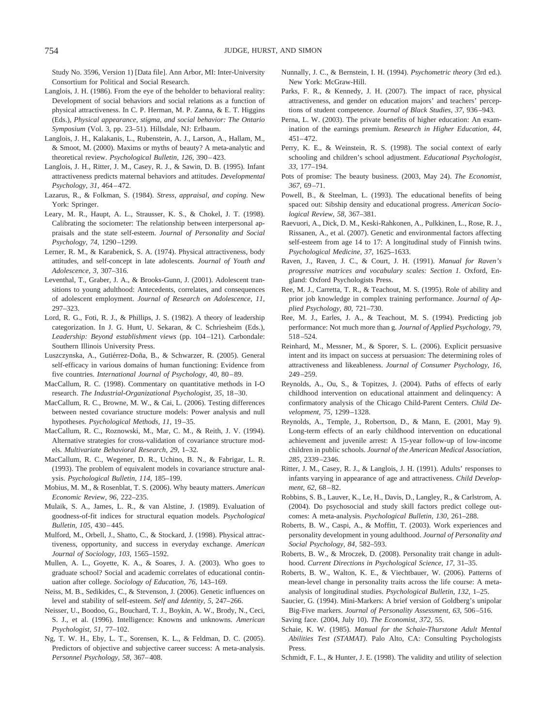Study No. 3596, Version 1) [Data file]. Ann Arbor, MI: Inter-University Consortium for Political and Social Research.

- Langlois, J. H. (1986). From the eye of the beholder to behavioral reality: Development of social behaviors and social relations as a function of physical attractiveness. In C. P. Herman, M. P. Zanna, & E. T. Higgins (Eds.), *Physical appearance, stigma, and social behavior: The Ontario Symposium* (Vol. 3, pp. 23–51). Hillsdale, NJ: Erlbaum.
- Langlois, J. H., Kalakanis, L., Rubenstein, A. J., Larson, A., Hallam, M., & Smoot, M. (2000). Maxims or myths of beauty? A meta-analytic and theoretical review. *Psychological Bulletin, 126, 390-423*.
- Langlois, J. H., Ritter, J. M., Casey, R. J., & Sawin, D. B. (1995). Infant attractiveness predicts maternal behaviors and attitudes. *Developmental Psychology, 31,* 464 – 472.
- Lazarus, R., & Folkman, S. (1984). *Stress, appraisal, and coping.* New York: Springer.
- Leary, M. R., Haupt, A. L., Strausser, K. S., & Chokel, J. T. (1998). Calibrating the sociometer: The relationship between interpersonal appraisals and the state self-esteem. *Journal of Personality and Social Psychology, 74,* 1290 –1299.
- Lerner, R. M., & Karabenick, S. A. (1974). Physical attractiveness, body attitudes, and self-concept in late adolescents. *Journal of Youth and Adolescence, 3,* 307–316.
- Leventhal, T., Graber, J. A., & Brooks-Gunn, J. (2001). Adolescent transitions to young adulthood: Antecedents, correlates, and consequences of adolescent employment. *Journal of Research on Adolescence, 11,* 297–323.
- Lord, R. G., Foti, R. J., & Phillips, J. S. (1982). A theory of leadership categorization. In J. G. Hunt, U. Sekaran, & C. Schriesheim (Eds.), *Leadership: Beyond establishment views* (pp. 104 –121). Carbondale: Southern Illinois University Press.
- Luszczynska, A., Gutiérrez-Doña, B., & Schwarzer, R. (2005). General self-efficacy in various domains of human functioning: Evidence from five countries. *International Journal of Psychology, 40, 80-89*.
- MacCallum, R. C. (1998). Commentary on quantitative methods in I-O research. *The Industrial-Organizational Psychologist, 35,* 18 –30.
- MacCallum, R. C., Browne, M. W., & Cai, L. (2006). Testing differences between nested covariance structure models: Power analysis and null hypotheses. *Psychological Methods, 11,* 19 –35.
- MacCallum, R. C., Roznowski, M., Mar, C. M., & Reith, J. V. (1994). Alternative strategies for cross-validation of covariance structure models. *Multivariate Behavioral Research, 29,* 1–32.
- MacCallum, R. C., Wegener, D. R., Uchino, B. N., & Fabrigar, L. R. (1993). The problem of equivalent models in covariance structure analysis. *Psychological Bulletin, 114,* 185–199.
- Mobius, M. M., & Rosenblat, T. S. (2006). Why beauty matters. *American Economic Review, 96,* 222–235.
- Mulaik, S. A., James, L. R., & van Alstine, J. (1989). Evaluation of goodness-of-fit indices for structural equation models. *Psychological Bulletin, 105,* 430 – 445.
- Mulford, M., Orbell, J., Shatto, C., & Stockard, J. (1998). Physical attractiveness, opportunity, and success in everyday exchange. *American Journal of Sociology, 103,* 1565–1592.
- Mullen, A. L., Goyette, K. A., & Soares, J. A. (2003). Who goes to graduate school? Social and academic correlates of educational continuation after college. *Sociology of Education, 76,* 143–169.
- Neiss, M. B., Sedikides, C., & Stevenson, J. (2006). Genetic influences on level and stability of self-esteem. *Self and Identity, 5,* 247–266.
- Neisser, U., Boodoo, G., Bouchard, T. J., Boykin, A. W., Brody, N., Ceci, S. J., et al. (1996). Intelligence: Knowns and unknowns. *American Psychologist, 51,* 77–102.
- Ng, T. W. H., Eby, L. T., Sorensen, K. L., & Feldman, D. C. (2005). Predictors of objective and subjective career success: A meta-analysis. *Personnel Psychology, 58,* 367– 408.
- Nunnally, J. C., & Bernstein, I. H. (1994). *Psychometric theory* (3rd ed.). New York: McGraw-Hill.
- Parks, F. R., & Kennedy, J. H. (2007). The impact of race, physical attractiveness, and gender on education majors' and teachers' perceptions of student competence. *Journal of Black Studies, 37,* 936 –943.
- Perna, L. W. (2003). The private benefits of higher education: An examination of the earnings premium. *Research in Higher Education, 44,* 451– 472.
- Perry, K. E., & Weinstein, R. S. (1998). The social context of early schooling and children's school adjustment. *Educational Psychologist, 33,* 177–194.
- Pots of promise: The beauty business. (2003, May 24). *The Economist, 367,* 69 –71.
- Powell, B., & Steelman, L. (1993). The educational benefits of being spaced out: Sibship density and educational progress. *American Sociological Review, 58,* 367–381.
- Raevuori, A., Dick, D. M., Keski-Rahkonen, A., Pulkkinen, L., Rose, R. J., Rissanen, A., et al. (2007). Genetic and environmental factors affecting self-esteem from age 14 to 17: A longitudinal study of Finnish twins. *Psychological Medicine, 37,* 1625–1633.
- Raven, J., Raven, J. C., & Court, J. H. (1991). *Manual for Raven's progressive matrices and vocabulary scales: Section 1.* Oxford, England: Oxford Psychologists Press.
- Ree, M. J., Carretta, T. R., & Teachout, M. S. (1995). Role of ability and prior job knowledge in complex training performance. *Journal of Applied Psychology, 80,* 721–730.
- Ree, M. J., Earles, J. A., & Teachout, M. S. (1994). Predicting job performance: Not much more than g. *Journal of Applied Psychology, 79,* 518 –524.
- Reinhard, M., Messner, M., & Sporer, S. L. (2006). Explicit persuasive intent and its impact on success at persuasion: The determining roles of attractiveness and likeableness. *Journal of Consumer Psychology, 16,* 249 –259.
- Reynolds, A., Ou, S., & Topitzes, J. (2004). Paths of effects of early childhood intervention on educational attainment and delinquency: A confirmatory analysis of the Chicago Child-Parent Centers. *Child Development, 75,* 1299 –1328.
- Reynolds, A., Temple, J., Robertson, D., & Mann, E. (2001, May 9). Long-term effects of an early childhood intervention on educational achievement and juvenile arrest: A 15-year follow-up of low-income children in public schools. *Journal of the American Medical Association, 285,* 2339 –2346.
- Ritter, J. M., Casey, R. J., & Langlois, J. H. (1991). Adults' responses to infants varying in appearance of age and attractiveness. *Child Development, 62,* 68 – 82.
- Robbins, S. B., Lauver, K., Le, H., Davis, D., Langley, R., & Carlstrom, A. (2004). Do psychosocial and study skill factors predict college outcomes: A meta-analysis. *Psychological Bulletin, 130,* 261–288.
- Roberts, B. W., Caspi, A., & Moffitt, T. (2003). Work experiences and personality development in young adulthood. *Journal of Personality and Social Psychology, 84,* 582–593.
- Roberts, B. W., & Mroczek, D. (2008). Personality trait change in adulthood. *Current Directions in Psychological Science, 17,* 31–35.
- Roberts, B. W., Walton, K. E., & Viechtbauer, W. (2006). Patterns of mean-level change in personality traits across the life course: A metaanalysis of longitudinal studies. *Psychological Bulletin, 132,* 1–25.
- Saucier, G. (1994). Mini-Markers: A brief version of Goldberg's unipolar Big-Five markers. *Journal of Personality Assessment, 63,* 506 –516.
- Saving face. (2004, July 10). *The Economist, 372,* 55.
- Schaie, K. W. (1985). *Manual for the Schaie-Thurstone Adult Mental Abilities Test (STAMAT).* Palo Alto, CA: Consulting Psychologists Press.
- Schmidt, F. L., & Hunter, J. E. (1998). The validity and utility of selection